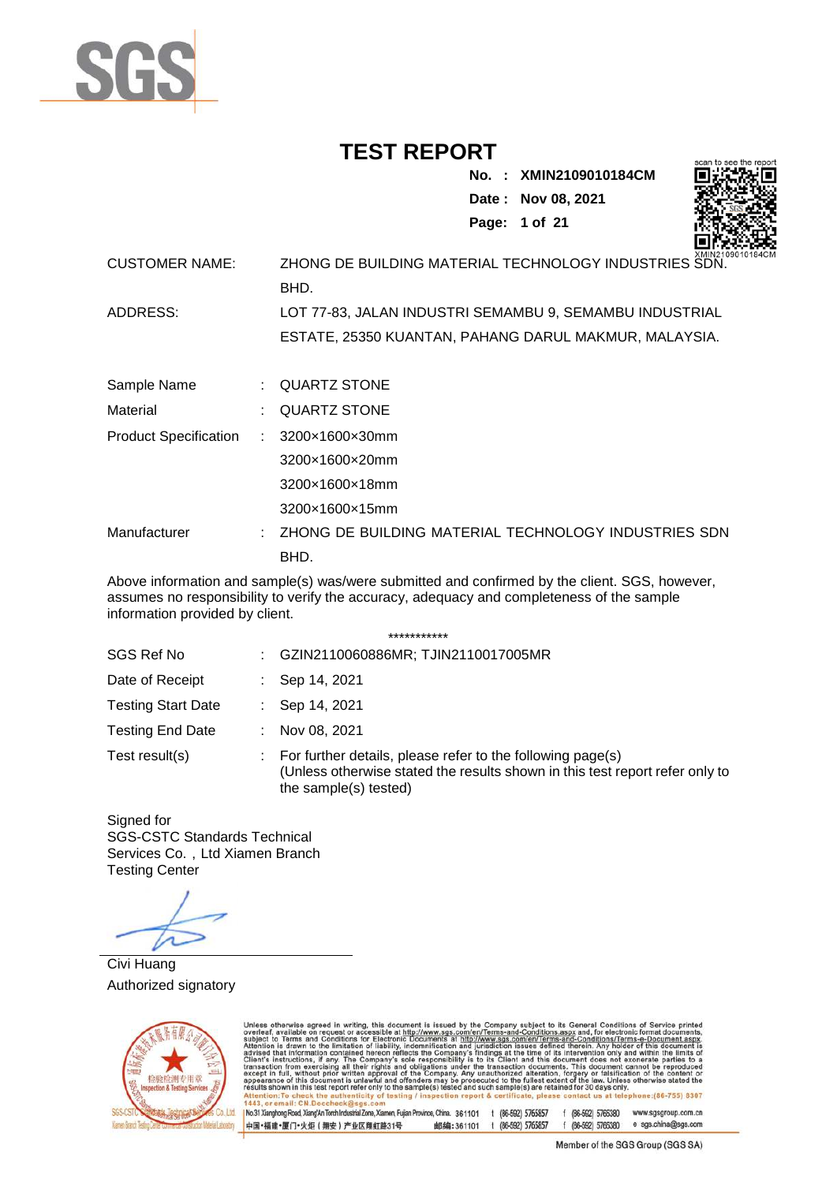

**No. : XMIN2109010184CM Date : Nov 08, 2021 Page: 1 of 21** 



| <b>CUSTOMER NAME:</b> | AMINZ IUSU<br>ZHONG DE BUILDING MATERIAL TECHNOLOGY INDUSTRIES SDN. |
|-----------------------|---------------------------------------------------------------------|
|                       | BHD.                                                                |
| ADDRESS:              | LOT 77-83, JALAN INDUSTRI SEMAMBU 9, SEMAMBU INDUSTRIAL             |
|                       | ESTATE, 25350 KUANTAN, PAHANG DARUL MAKMUR, MALAYSIA.               |
|                       |                                                                     |

| Sample Name                            | : QUARTZ STONE                                         |
|----------------------------------------|--------------------------------------------------------|
| Material                               | $\therefore$ QUARTZ STONE                              |
| Product Specification : 3200x1600x30mm |                                                        |
|                                        | 3200×1600×20mm                                         |
|                                        | 3200×1600×18mm                                         |
|                                        | 3200×1600×15mm                                         |
| Manufacturer                           | : ZHONG DE BUILDING MATERIAL TECHNOLOGY INDUSTRIES SDN |
|                                        | BHD.                                                   |

Above information and sample(s) was/were submitted and confirmed by the client. SGS, however, assumes no responsibility to verify the accuracy, adequacy and completeness of the sample information provided by client.

\*\*\*\*\*\*\*\*\*\*\*

|                           |    | .                                                                                                                                                                   |
|---------------------------|----|---------------------------------------------------------------------------------------------------------------------------------------------------------------------|
| SGS Ref No                | ÷. | GZIN2110060886MR; TJIN2110017005MR                                                                                                                                  |
| Date of Receipt           |    | Sep 14, 2021                                                                                                                                                        |
| <b>Testing Start Date</b> |    | Sep 14, 2021                                                                                                                                                        |
| <b>Testing End Date</b>   |    | Nov 08, 2021                                                                                                                                                        |
| Test result(s)            | ÷  | For further details, please refer to the following page(s)<br>(Unless otherwise stated the results shown in this test report refer only to<br>the sample(s) tested) |

Signed for SGS-CSTC Standards Technical Services Co., Ltd Xiamen Branch Testing Center

Civi Huang Authorized signatory



Unless otherwise agreed in writing, this document is issued by the Company subject to its General Conditions of Service printed subject to Terms and Conditions for Electronic Documents at http://www.sgs.com/en/Terms-and-C e: (86-755) 8307  $II$  CN D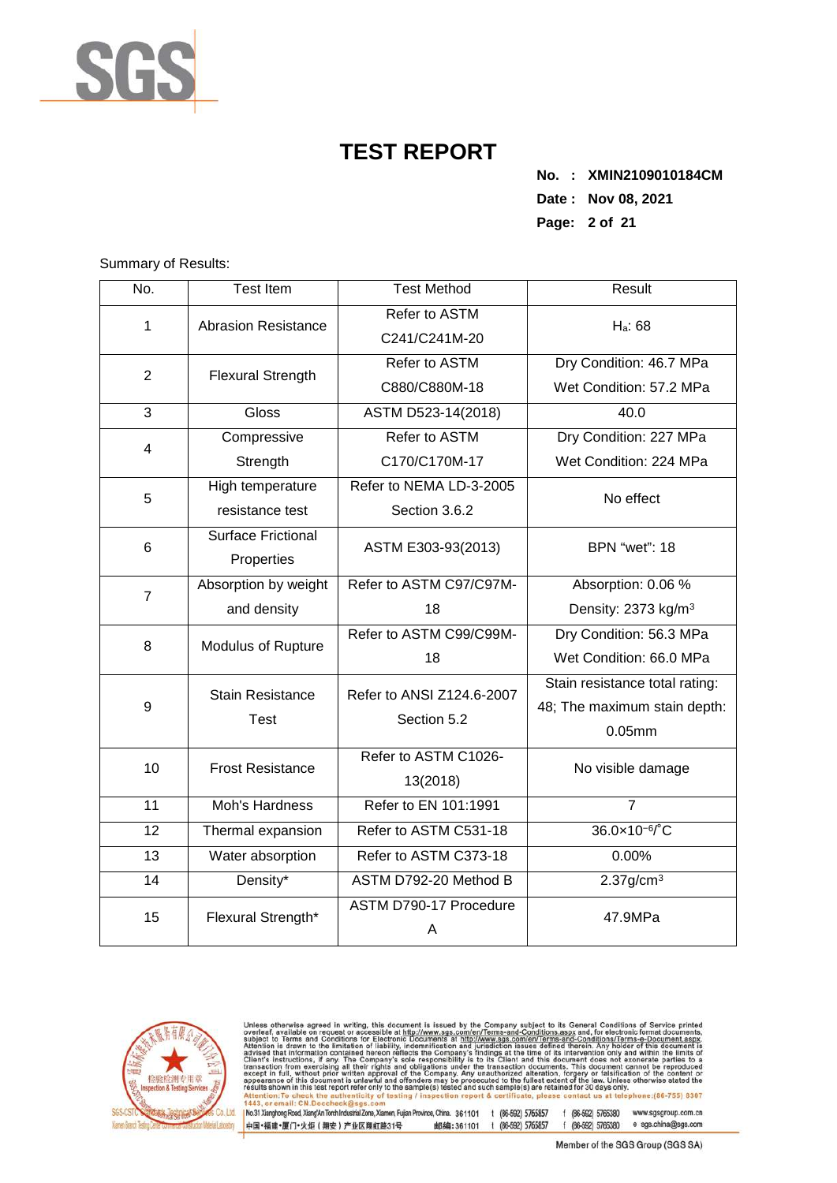

**No. : XMIN2109010184CM Date : Nov 08, 2021 Page: 2 of 21** 

Summary of Results:

| No.            | <b>Test Item</b>           | <b>Test Method</b>          | Result                          |  |  |
|----------------|----------------------------|-----------------------------|---------------------------------|--|--|
| $\mathbf{1}$   | <b>Abrasion Resistance</b> | Refer to ASTM               | H <sub>a</sub> : 68             |  |  |
|                |                            | C241/C241M-20               |                                 |  |  |
| $\overline{2}$ | <b>Flexural Strength</b>   | Refer to ASTM               | Dry Condition: 46.7 MPa         |  |  |
|                |                            | C880/C880M-18               | Wet Condition: 57.2 MPa         |  |  |
| 3              | Gloss                      | ASTM D523-14(2018)          | 40.0                            |  |  |
| $\overline{4}$ | Compressive                | Refer to ASTM               | Dry Condition: 227 MPa          |  |  |
|                | Strength                   | C170/C170M-17               | Wet Condition: 224 MPa          |  |  |
| 5              | High temperature           | Refer to NEMA LD-3-2005     | No effect                       |  |  |
|                | resistance test            | Section 3.6.2               |                                 |  |  |
| 6              | <b>Surface Frictional</b>  | ASTM E303-93(2013)          | <b>BPN</b> "wet": 18            |  |  |
|                | Properties                 |                             |                                 |  |  |
| $\overline{7}$ | Absorption by weight       | Refer to ASTM C97/C97M-     | Absorption: 0.06 %              |  |  |
|                | and density                | 18                          | Density: 2373 kg/m <sup>3</sup> |  |  |
| 8              | Modulus of Rupture         | Refer to ASTM C99/C99M-     | Dry Condition: 56.3 MPa         |  |  |
|                |                            | 18                          | Wet Condition: 66.0 MPa         |  |  |
|                | <b>Stain Resistance</b>    | Refer to ANSI Z124.6-2007   | Stain resistance total rating:  |  |  |
| 9              | <b>Test</b>                | Section 5.2                 | 48; The maximum stain depth:    |  |  |
|                |                            |                             | $0.05$ mm                       |  |  |
| 10             | <b>Frost Resistance</b>    | Refer to ASTM C1026-        | No visible damage               |  |  |
|                |                            | 13(2018)                    |                                 |  |  |
| 11             | Moh's Hardness             | Refer to EN 101:1991        | $\overline{7}$                  |  |  |
| 12             | Thermal expansion          | Refer to ASTM C531-18       | 36.0×10 <sup>-6</sup> /°C       |  |  |
| 13             | Water absorption           | Refer to ASTM C373-18       | 0.00%                           |  |  |
| 14             | Density*                   | ASTM D792-20 Method B       | $2.37$ g/cm <sup>3</sup>        |  |  |
| 15             | Flexural Strength*         | ASTM D790-17 Procedure<br>Α | 47.9MPa                         |  |  |



Unless otherwise agreed in writing, this document is issued by the Company subject to its General Conditions of Service printed overleaf, available on request or accessible at http://www.sgs.com/en/Terms-and-Conditions.as  $II$  CN D

1 Mo31 Xianghong Road, XiangAn Torch Industrial Zone, Xiamen, Fujian Province, China. 361101 t (86-592) 5765857 f (86-592) 5765330 www.sgsgroup.com.cn<br>|中国+福建+厦门+火炬(翔安)产业区翔虹路31号 邮编:361101 t (86-592) 5765857 f (86-592)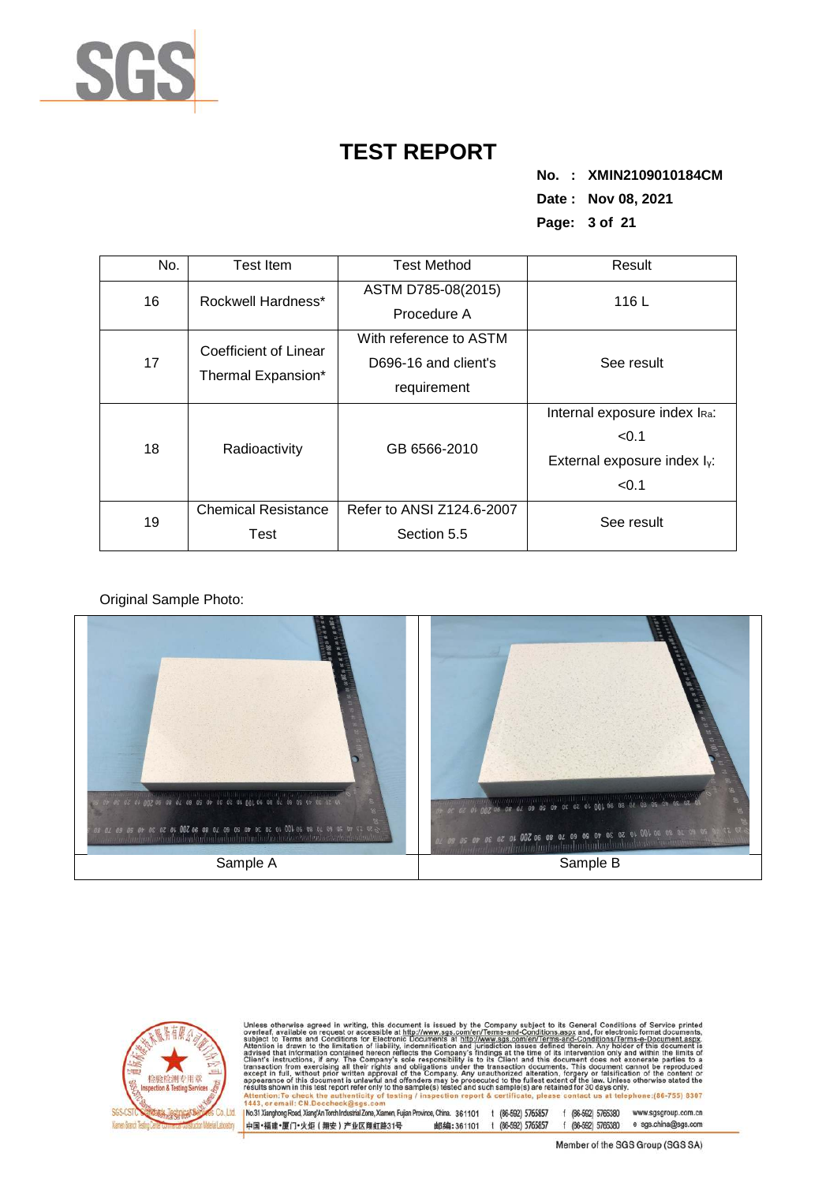

**No. : XMIN2109010184CM Date : Nov 08, 2021 Page: 3 of 21** 

| No. | <b>Test Item</b>           | <b>Test Method</b>        | Result                            |  |  |
|-----|----------------------------|---------------------------|-----------------------------------|--|--|
| 16  | Rockwell Hardness*         | ASTM D785-08(2015)        | 116L                              |  |  |
|     |                            | Procedure A               |                                   |  |  |
|     | Coefficient of Linear      | With reference to ASTM    |                                   |  |  |
| 17  | Thermal Expansion*         | D696-16 and client's      | See result                        |  |  |
|     |                            | requirement               |                                   |  |  |
|     |                            |                           | Internal exposure index IRa:      |  |  |
| 18  | Radioactivity              | GB 6566-2010              | < 0.1                             |  |  |
|     |                            |                           | External exposure index $I_{Y}$ : |  |  |
|     |                            |                           | < 0.1                             |  |  |
| 19  | <b>Chemical Resistance</b> | Refer to ANSI Z124.6-2007 | See result                        |  |  |
|     | Test                       | Section 5.5               |                                   |  |  |

Original Sample Photo:





Unless otherwise agreed in writing, this document is issued by the Company subject to its General Conditions of Service printed overleaf, available on request or accessible at http://www.sgs.com/en/Terms-and-Conditions.as

No.31 Xianghong Road, Xiang/An Torch Industrial Zone, Xiamen, Fujian Province, China. 361101 t (86-592) 5765857 f (86-592) 5765380 www.sgsgroup.com.cn 邮编:361101 t (86-592) 5765857 f (86-592) 5765380 e sgs.china@sgs.com 中国·福建·厦门·火炬 (翔安) 产业区翔虹路31号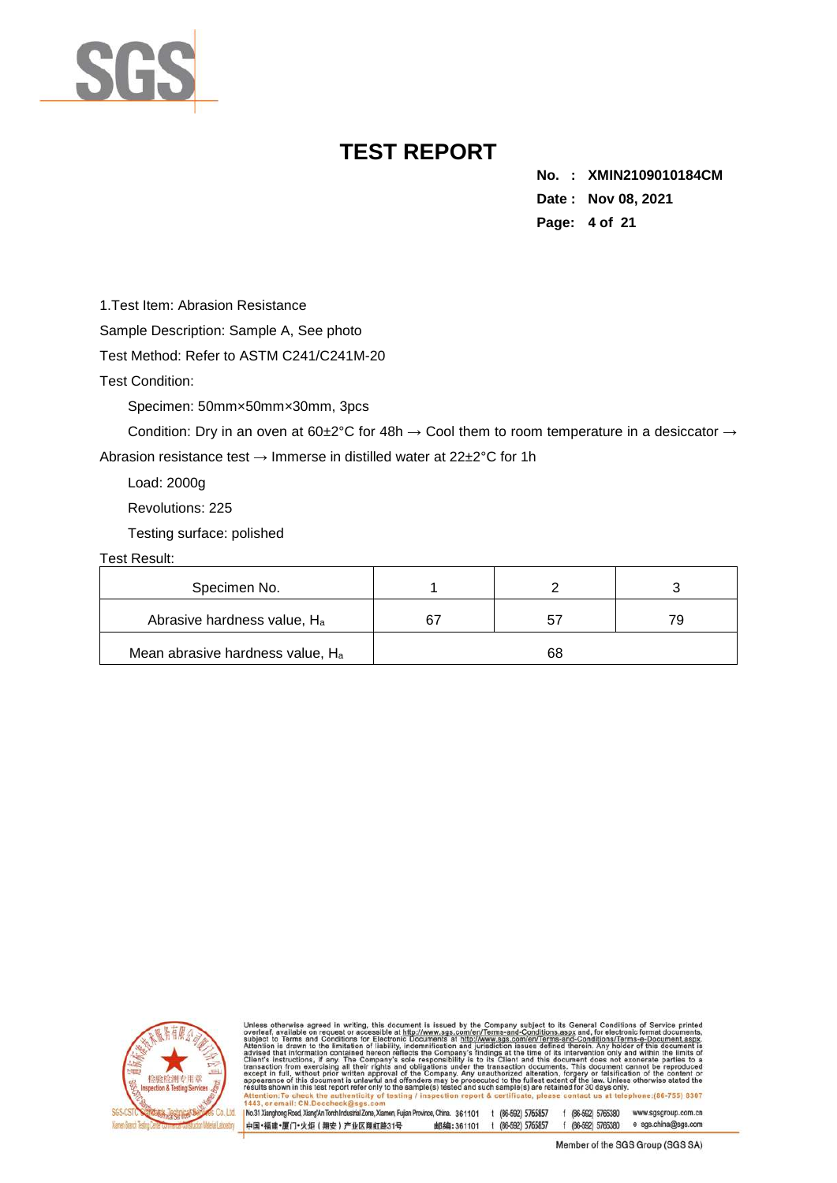

**No. : XMIN2109010184CM Date : Nov 08, 2021 Page: 4 of 21** 

1.Test Item: Abrasion Resistance

Sample Description: Sample A, See photo

Test Method: Refer to ASTM C241/C241M-20

Test Condition:

Specimen: 50mm×50mm×30mm, 3pcs

Condition: Dry in an oven at 60±2°C for 48h  $\rightarrow$  Cool them to room temperature in a desiccator  $\rightarrow$ 

Abrasion resistance test  $\rightarrow$  Immerse in distilled water at 22±2°C for 1h

Load: 2000g

Revolutions: 225

Testing surface: polished

Test Result:

| Specimen No.                            |    |  |
|-----------------------------------------|----|--|
| Abrasive hardness value, H <sub>a</sub> |    |  |
| Mean abrasive hardness value, Ha        | 68 |  |



otherwise agreed in writing, this document is issued by the Company subject to its General Conditions of Service and Conditions for Service and Conditions for electronic forms and Conditions for the stress of the intermedi sub<br>Atte advised<br>Client's tion from exe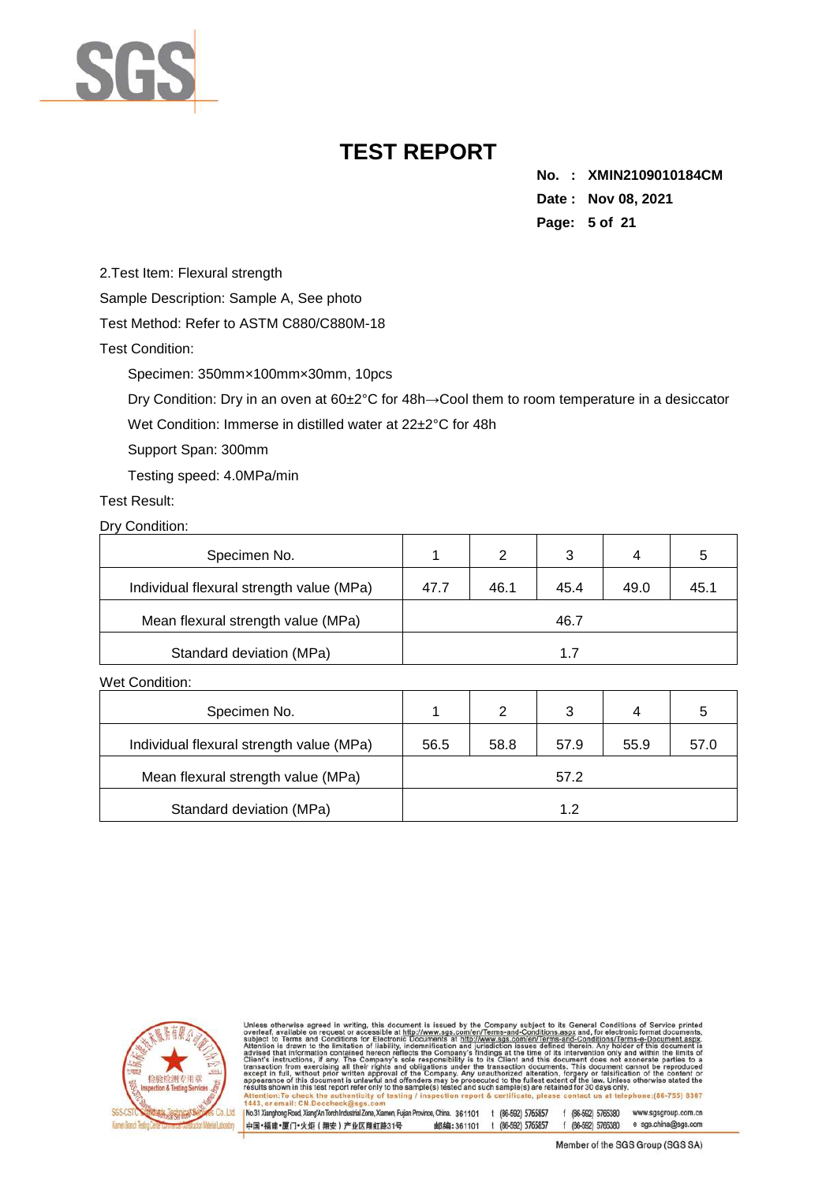

**No. : XMIN2109010184CM Date : Nov 08, 2021 Page: 5 of 21** 

2.Test Item: Flexural strength

Sample Description: Sample A, See photo

Test Method: Refer to ASTM C880/C880M-18

Test Condition:

Specimen: 350mm×100mm×30mm, 10pcs

Dry Condition: Dry in an oven at 60±2°C for 48h→Cool them to room temperature in a desiccator

Wet Condition: Immerse in distilled water at 22±2°C for 48h

Support Span: 300mm

Testing speed: 4.0MPa/min

Test Result:

Dry Condition:

| Specimen No.                             |      | 2    | 3    | 4    |      |
|------------------------------------------|------|------|------|------|------|
| Individual flexural strength value (MPa) | 47.7 | 46.1 | 45.4 | 49.0 | 45.1 |
| Mean flexural strength value (MPa)       |      |      | 46.7 |      |      |
| Standard deviation (MPa)                 |      |      |      |      |      |

Wet Condition:

| Specimen No.                             |      | 2    | 3    | 4    |      |
|------------------------------------------|------|------|------|------|------|
| Individual flexural strength value (MPa) | 56.5 | 58.8 | 57.9 | 55.9 | 57.0 |
| Mean flexural strength value (MPa)       |      |      | 57.2 |      |      |
| Standard deviation (MPa)                 |      |      | 12   |      |      |



otherwise agreed in writing, this document is issued by the Company subject to its General Conditions of Service<br>of a wallable on request or accessible at http://www.sgs.com/en/Terms-and-Conditions.aspx and, for electroni subj<br>Atte ct to advised<br>Client's to a chem s instructions,<br>transaction from exer<br>except in full, withou appearance<br>results show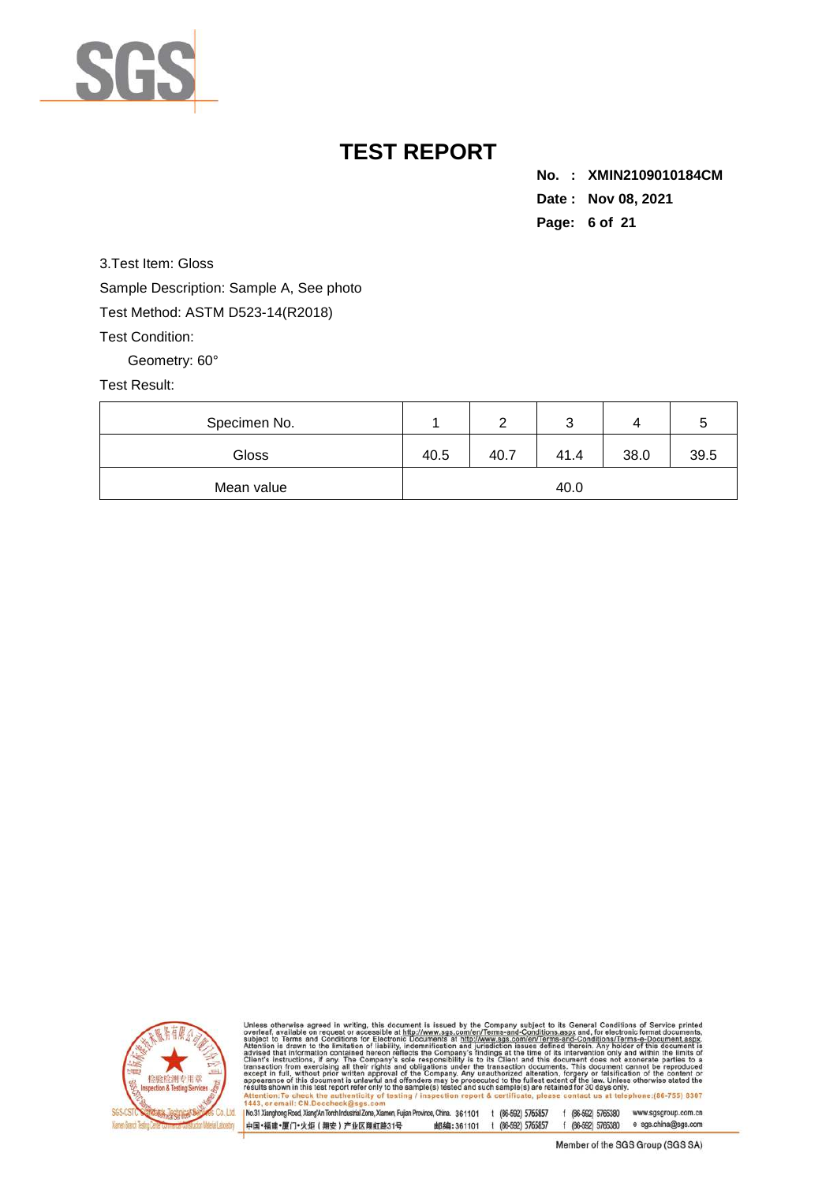

**No. : XMIN2109010184CM Date : Nov 08, 2021 Page: 6 of 21** 

3.Test Item: Gloss Sample Description: Sample A, See photo Test Method: ASTM D523-14(R2018)

Test Condition:

Geometry: 60°

### Test Result:

| Specimen No. |      |      | ັ    |      |      |
|--------------|------|------|------|------|------|
| Gloss        | 40.5 | 40.7 | 41.4 | 38.0 | 39.5 |
| Mean value   | 40.0 |      |      |      |      |



Unless otherwise agreed in writing, this document is issued by the Company subject to its General Conditions of Service printed<br>overleaf, available on request or accessible at http://www.sgs.com/en/Terms-and-Conditions.as of testing lephone: (86-755) 8307 ction r cartifica at tel  $II$  CN D

No.31 Xianghong Road, Xiang/An Torch Industrial Zone, Xiamen, Fujian Province, China. 361101 1 (86-592) 5765857 f (86-592) 5765380 www.sgsgroup.com.cn 邮编:361101 t (86-592) 5765857 f (86-592) 5765380 e sgs.china@sgs.com 中国·福建·厦门·火炬 (翔安) 产业区翔虹路31号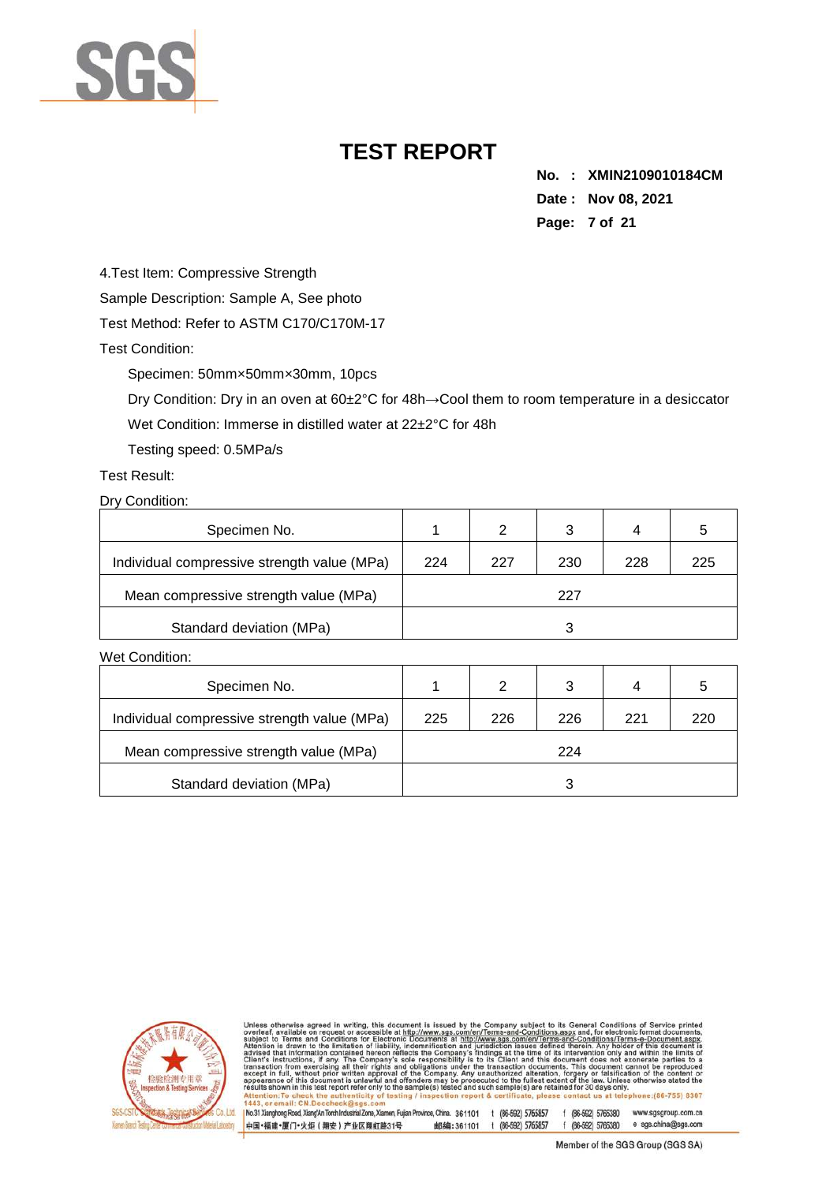

**No. : XMIN2109010184CM Date : Nov 08, 2021 Page: 7 of 21** 

4.Test Item: Compressive Strength

Sample Description: Sample A, See photo

Test Method: Refer to ASTM C170/C170M-17

Test Condition:

Specimen: 50mm×50mm×30mm, 10pcs

Dry Condition: Dry in an oven at 60±2°C for 48h→Cool them to room temperature in a desiccator

Wet Condition: Immerse in distilled water at 22±2°C for 48h

Testing speed: 0.5MPa/s

Test Result:

Dry Condition:

| Specimen No.                                |     | 2   |     | 4   |     |
|---------------------------------------------|-----|-----|-----|-----|-----|
| Individual compressive strength value (MPa) | 224 | 227 | 230 | 228 | 225 |
| Mean compressive strength value (MPa)       |     |     | 227 |     |     |
| Standard deviation (MPa)                    |     |     |     |     |     |

Wet Condition:

| Specimen No.                                |     | 2   | 3   | 4   |     |
|---------------------------------------------|-----|-----|-----|-----|-----|
| Individual compressive strength value (MPa) | 225 | 226 | 226 | 221 | 220 |
| Mean compressive strength value (MPa)       |     |     | 224 |     |     |
| Standard deviation (MPa)                    |     |     |     |     |     |



Unless otherwise agreed in writing, this document is issued by the Company subject to its General Conditions of Service<br>subject to Terms and Conditions for Service and the University of the Company subject to Terms and Co to a e:(86-755) 8307

No.31 Xianghong Road, Xiang/An Torch Industrial Zone, Xiamen, Fujian Province, China. 361101 t (86-592) 5765857 f (86-592) 5765380 www.sgsgroup.com.cn 邮编:361101 t (86-592) 5765857 f (86-592) 5765380 e sgs.china@sgs.com 中国·福建·厦门·火炬 (翔安) 产业区翔虹路31号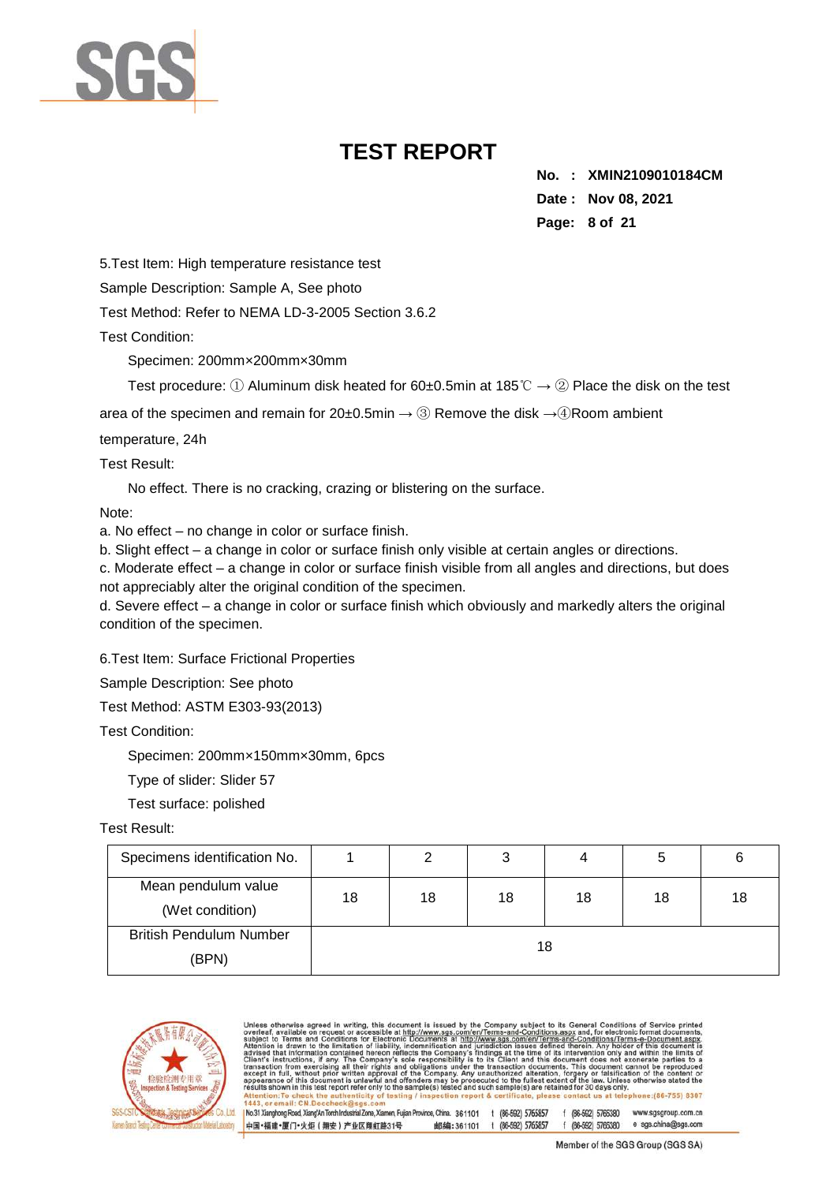

**No. : XMIN2109010184CM Date : Nov 08, 2021 Page: 8 of 21** 

5.Test Item: High temperature resistance test

Sample Description: Sample A, See photo

Test Method: Refer to NEMA LD-3-2005 Section 3.6.2

Test Condition:

Specimen: 200mm×200mm×30mm

Test procedure: ① Aluminum disk heated for 60±0.5min at 185°C  $\rightarrow$  ② Place the disk on the test

area of the specimen and remain for  $20±0.5$ min  $\rightarrow$  3 Remove the disk  $\rightarrow$  4 Room ambient

temperature, 24h

Test Result:

No effect. There is no cracking, crazing or blistering on the surface.

Note:

a. No effect – no change in color or surface finish.

b. Slight effect – a change in color or surface finish only visible at certain angles or directions.

c. Moderate effect – a change in color or surface finish visible from all angles and directions, but does not appreciably alter the original condition of the specimen.

d. Severe effect – a change in color or surface finish which obviously and markedly alters the original condition of the specimen.

6.Test Item: Surface Frictional Properties

Sample Description: See photo

Test Method: ASTM E303-93(2013)

Test Condition:

Specimen: 200mm×150mm×30mm, 6pcs

Type of slider: Slider 57

Test surface: polished

### Test Result:

| Specimens identification No.            |    |    | 3  | 4  | 5  | 6  |
|-----------------------------------------|----|----|----|----|----|----|
| Mean pendulum value<br>(Wet condition)  | 18 | 18 | 18 | 18 | 18 | 18 |
| <b>British Pendulum Number</b><br>(BPN) |    |    |    | 18 |    |    |



| Unless otherwise agreed in writing, this document is issued by the Company subject to its General Conditions of Service printed<br>overleaf, available on request or accessible at http://www.sqs.com/en/Terms-and-Conditions.aspx and, for electronic format documents.<br>subject to Terms and Conditions for Electronic Documents at http://www.sgs.com/en/Terms-and-Conditions/Terms-e-Document.aspx.<br>Attention is drawn to the limitation of liability, indemnification and jurisdiction issues defined therein. Any holder of this document is<br>advised that information contained hereon reflects the Company's findings at the time of its intervention only and within the limits of<br>Client's instructions, if any. The Company's sole responsibility is to its Client and this document does not exonerate parties to a<br>transaction from exercising all their rights and obligations under the transaction documents. This document cannot be reproduced<br>except in full, without prior written approval of the Company. Any unauthorized alteration, forgery or falsification of the content or<br>appearance of this document is unlawful and offenders may be prosecuted to the fullest extent of the law. Unless otherwise stated the<br>results shown in this test report refer only to the sample(s) tested and such sample(s) are retained for 30 days only. |  |
|--------------------------------------------------------------------------------------------------------------------------------------------------------------------------------------------------------------------------------------------------------------------------------------------------------------------------------------------------------------------------------------------------------------------------------------------------------------------------------------------------------------------------------------------------------------------------------------------------------------------------------------------------------------------------------------------------------------------------------------------------------------------------------------------------------------------------------------------------------------------------------------------------------------------------------------------------------------------------------------------------------------------------------------------------------------------------------------------------------------------------------------------------------------------------------------------------------------------------------------------------------------------------------------------------------------------------------------------------------------------------------------------|--|
| Attention: To check the authenticity of testing / inspection report & certificate, please contact us at telephone: (86-755) 8307                                                                                                                                                                                                                                                                                                                                                                                                                                                                                                                                                                                                                                                                                                                                                                                                                                                                                                                                                                                                                                                                                                                                                                                                                                                           |  |
| 1443, or email: CN.Doccheck@sgs.com                                                                                                                                                                                                                                                                                                                                                                                                                                                                                                                                                                                                                                                                                                                                                                                                                                                                                                                                                                                                                                                                                                                                                                                                                                                                                                                                                        |  |
| No.31 Xianghong Road, Xiang'An Torch Industrial Zone, Xiamen, Fujian Province, China. 361101<br>(86-592) 5765857<br>f (86-592) 5765380<br>www.sgsgroup.com.cn                                                                                                                                                                                                                                                                                                                                                                                                                                                                                                                                                                                                                                                                                                                                                                                                                                                                                                                                                                                                                                                                                                                                                                                                                              |  |

邮编:361101 t (86-592) 5765857 f (86-592) 5765380 e sgs.china@sgs.com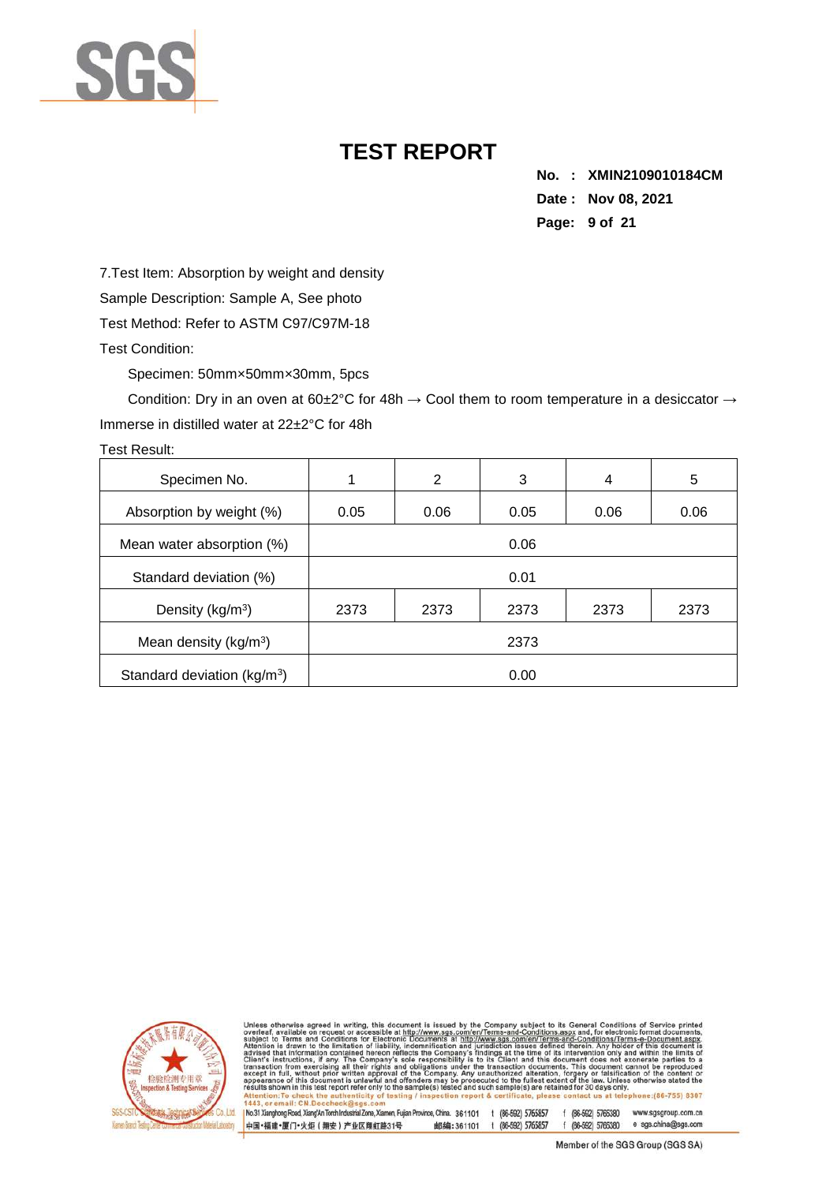

**No. : XMIN2109010184CM Date : Nov 08, 2021 Page: 9 of 21** 

7.Test Item: Absorption by weight and density Sample Description: Sample A, See photo Test Method: Refer to ASTM C97/C97M-18 Test Condition:

Specimen: 50mm×50mm×30mm, 5pcs

Condition: Dry in an oven at 60±2°C for 48h  $\rightarrow$  Cool them to room temperature in a desiccator  $\rightarrow$ Immerse in distilled water at 22±2°C for 48h

| Specimen No.                            |      | 2    | 3    | 4    | 5    |  |
|-----------------------------------------|------|------|------|------|------|--|
| Absorption by weight (%)                | 0.05 | 0.06 | 0.05 | 0.06 | 0.06 |  |
| Mean water absorption (%)               | 0.06 |      |      |      |      |  |
| Standard deviation (%)                  | 0.01 |      |      |      |      |  |
| Density (kg/m <sup>3</sup> )            | 2373 | 2373 | 2373 | 2373 | 2373 |  |
| Mean density ( $kg/m3$ )                |      |      | 2373 |      |      |  |
| Standard deviation (kg/m <sup>3</sup> ) | 0.00 |      |      |      |      |  |



Unless otherwise agreed in writing, this document is issued by the Company subject to its General Conditions of Service printed subject to Terms and Conditions for Electronic Documents at http://www.sgs.com/en/Terms-and-C e:(86-755) 8307

No.31 Xianghong Road, Xiang/An Torch Industrial Zone, Xiamen, Fujian Province, China. 361101 1 (86-592) 5765857 f (86-592) 5765380 www.sgsgroup.com.cn 邮编:361101 t (86-592) 5765857 f (86-592) 5765380 e sgs.china@sgs.com 中国·福建·厦门·火炬 (翔安) 产业区翔虹路31号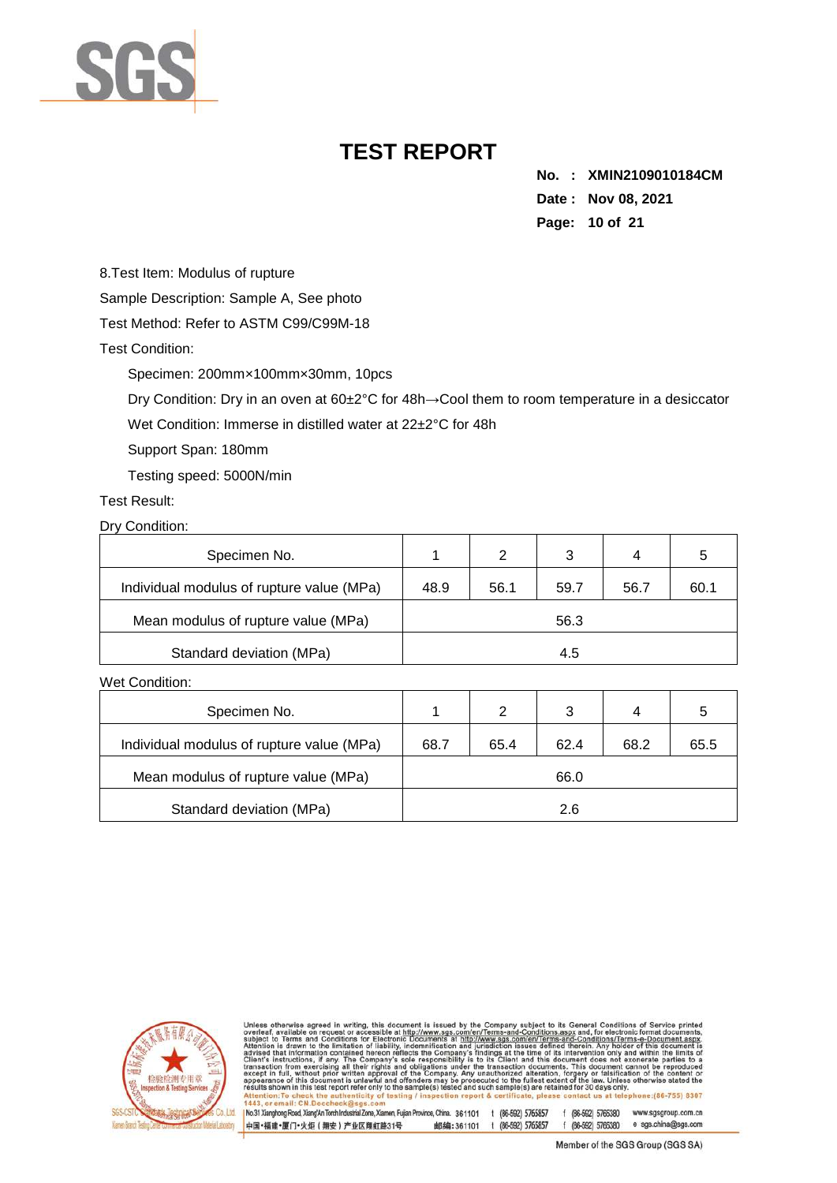

**No. : XMIN2109010184CM Date : Nov 08, 2021 Page: 10 of 21** 

8.Test Item: Modulus of rupture

Sample Description: Sample A, See photo

Test Method: Refer to ASTM C99/C99M-18

Test Condition:

Specimen: 200mm×100mm×30mm, 10pcs

Dry Condition: Dry in an oven at 60±2°C for 48h→Cool them to room temperature in a desiccator

Wet Condition: Immerse in distilled water at 22±2°C for 48h

Support Span: 180mm

Testing speed: 5000N/min

Test Result:

Dry Condition:

| Specimen No.                              |      | $\mathcal{P}$ | 3    | 4    |      |
|-------------------------------------------|------|---------------|------|------|------|
| Individual modulus of rupture value (MPa) | 48.9 | 56.1          | 59.7 | 56.7 | 60.1 |
| Mean modulus of rupture value (MPa)       |      |               | 56.3 |      |      |
| Standard deviation (MPa)                  |      |               | 4.5  |      |      |

Wet Condition:

| Specimen No.                              |      | 2    | 3    | 4    |      |
|-------------------------------------------|------|------|------|------|------|
| Individual modulus of rupture value (MPa) | 68.7 | 65.4 | 62.4 | 68.2 | 65.5 |
| Mean modulus of rupture value (MPa)       |      |      | 66.0 |      |      |
| Standard deviation (MPa)                  |      |      | 2.6  |      |      |



otherwise agreed in writing, this document is issued by the Company subject to its General Conditions of Service<br>of a wallable on request or accessible at http://www.sgs.com/en/Terms-and-Conditions.aspx and, for electroni subj<br>Atte ct to advised<br>Client's to a nt's instructions,<br>saction from exer<br>»pt in full, withou appearance<br>results show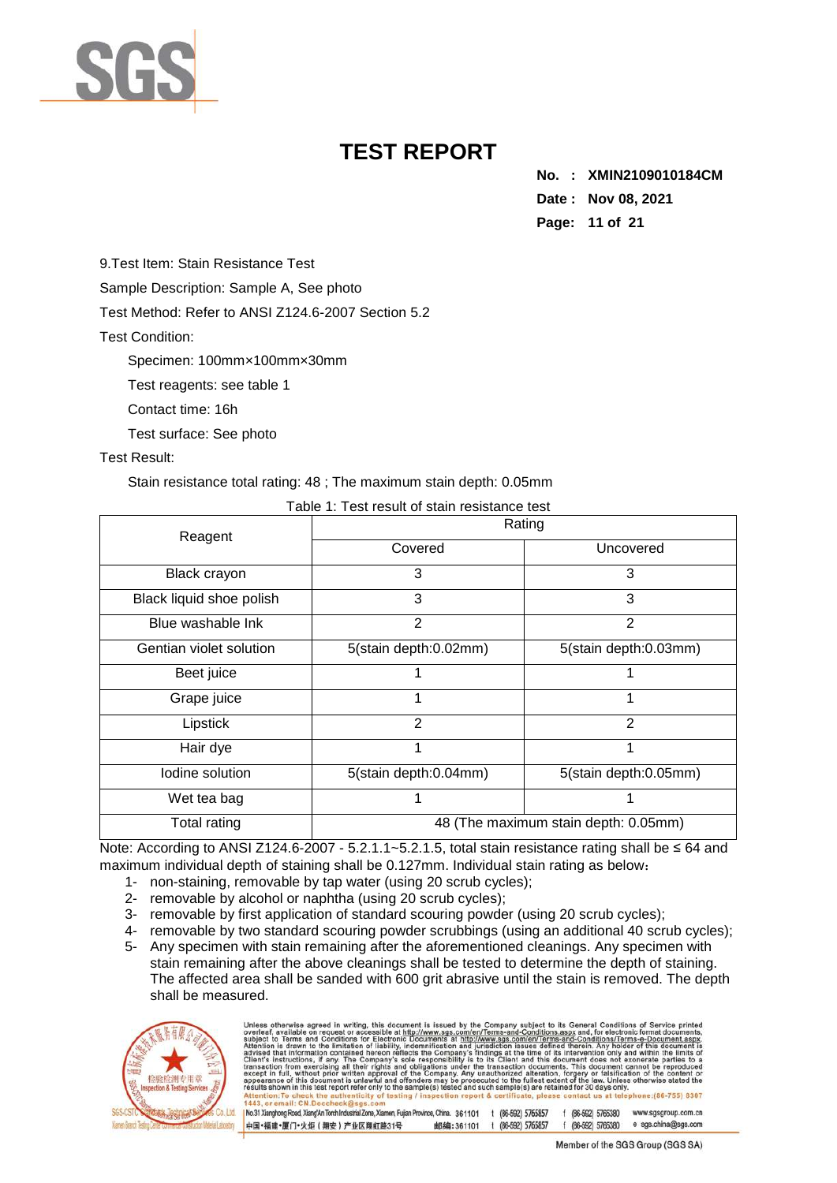

**No. : XMIN2109010184CM Date : Nov 08, 2021 Page: 11 of 21** 

9.Test Item: Stain Resistance Test

Sample Description: Sample A, See photo

Test Method: Refer to ANSI Z124.6-2007 Section 5.2

Test Condition:

Specimen: 100mm×100mm×30mm

Test reagents: see table 1

Contact time: 16h

Test surface: See photo

### Test Result:

Stain resistance total rating: 48 ; The maximum stain depth: 0.05mm

| Table T. Test result of stall resistance test |                                      |                       |  |  |  |
|-----------------------------------------------|--------------------------------------|-----------------------|--|--|--|
| Reagent                                       |                                      | Rating                |  |  |  |
|                                               | Covered                              | Uncovered             |  |  |  |
| Black crayon                                  | 3                                    | 3                     |  |  |  |
| Black liquid shoe polish                      | 3                                    | 3                     |  |  |  |
| Blue washable Ink                             | $\overline{2}$                       | 2                     |  |  |  |
| Gentian violet solution                       | 5(stain depth:0.02mm)                | 5(stain depth:0.03mm) |  |  |  |
| Beet juice                                    |                                      |                       |  |  |  |
| Grape juice                                   |                                      |                       |  |  |  |
| Lipstick                                      | 2                                    | 2                     |  |  |  |
| Hair dye                                      |                                      |                       |  |  |  |
| Iodine solution                               | 5(stain depth:0.04mm)                | 5(stain depth:0.05mm) |  |  |  |
| Wet tea bag                                   |                                      |                       |  |  |  |
| Total rating                                  | 48 (The maximum stain depth: 0.05mm) |                       |  |  |  |

Note: According to ANSI Z124.6-2007 - 5.2.1.1~5.2.1.5, total stain resistance rating shall be ≤ 64 and maximum individual depth of staining shall be 0.127mm. Individual stain rating as below:

- 1- non-staining, removable by tap water (using 20 scrub cycles);
- 2- removable by alcohol or naphtha (using 20 scrub cycles);
- 3- removable by first application of standard scouring powder (using 20 scrub cycles);
- 4- removable by two standard scouring powder scrubbings (using an additional 40 scrub cycles);
- 5- Any specimen with stain remaining after the aforementioned cleanings. Any specimen with stain remaining after the above cleanings shall be tested to determine the depth of staining. The affected area shall be sanded with 600 grit abrasive until the stain is removed. The depth shall be measured.



| Unless otherwise agreed in writing, this document is issued by the Company subject to its General Conditions of Service printed<br>overleaf, available on request or accessible at http://www.sgs.com/en/Terms-and-Conditions.aspx and, for electronic format documents,<br>subject to Terms and Conditions for Electronic Documents at http://www.sgs.com/en/Terms-and-Conditions/Terms-e-Document.aspx.<br>Attention is drawn to the limitation of liability, indemnification and jurisdiction issues defined therein. Any holder of this document is<br>advised that information contained hereon reflects the Company's findings at the time of its intervention only and within the limits of<br>Client's instructions, if any. The Company's sole responsibility is to its Client and this document does not exonerate parties to a<br>transaction from exercising all their rights and obligations under the transaction documents. This document cannot be reproduced<br>except in full, without prior written approval of the Company. Any unauthorized alteration, forgery or falsification of the content or<br>appearance of this document is unlawful and offenders may be prosecuted to the fullest extent of the law. Unless otherwise stated the<br>results shown in this test report refer only to the sample(s) tested and such sample(s) are retained for 30 days only.<br>Attention: To check the authenticity of testing / inspection report & certificate, please contact us at telephone: (86-755) 8307<br>1443, or email: CN.Doccheck@sgs.com |                                                               |
|-----------------------------------------------------------------------------------------------------------------------------------------------------------------------------------------------------------------------------------------------------------------------------------------------------------------------------------------------------------------------------------------------------------------------------------------------------------------------------------------------------------------------------------------------------------------------------------------------------------------------------------------------------------------------------------------------------------------------------------------------------------------------------------------------------------------------------------------------------------------------------------------------------------------------------------------------------------------------------------------------------------------------------------------------------------------------------------------------------------------------------------------------------------------------------------------------------------------------------------------------------------------------------------------------------------------------------------------------------------------------------------------------------------------------------------------------------------------------------------------------------------------------------------------------------------------------|---------------------------------------------------------------|
| No.31 Xianghong Road, Xiang'An Torch Industrial Zone, Xiamen, Fujian Province, China. 361101                                                                                                                                                                                                                                                                                                                                                                                                                                                                                                                                                                                                                                                                                                                                                                                                                                                                                                                                                                                                                                                                                                                                                                                                                                                                                                                                                                                                                                                                          | (86-592) 5765857<br>f (86-592) 5765380<br>www.sgsgroup.com.cn |
| 中国·福建·厦门·火炬 (翔安) 产业区翔虹路31号<br>邮编:361101                                                                                                                                                                                                                                                                                                                                                                                                                                                                                                                                                                                                                                                                                                                                                                                                                                                                                                                                                                                                                                                                                                                                                                                                                                                                                                                                                                                                                                                                                                                               | e sgs.china@sgs.com<br>(86-592) 5765857<br>f (86-592) 5765380 |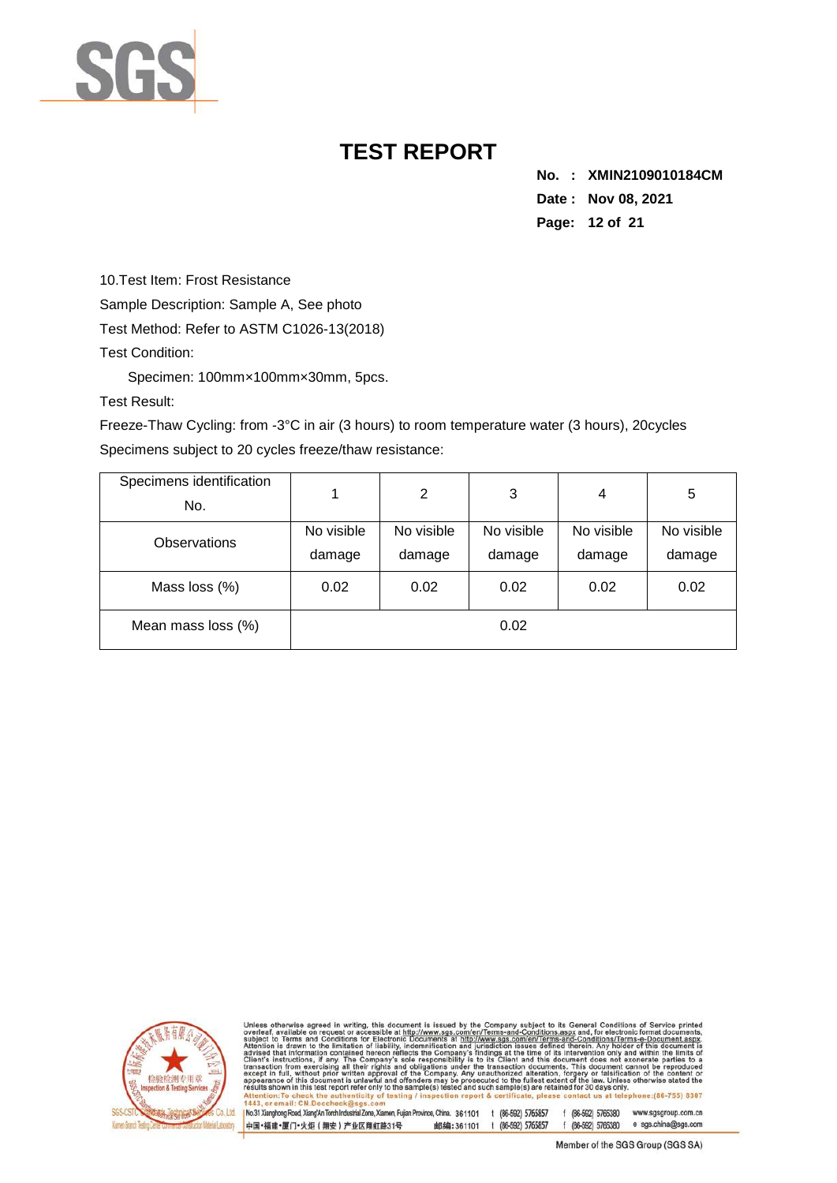

**No. : XMIN2109010184CM Date : Nov 08, 2021 Page: 12 of 21** 

10.Test Item: Frost Resistance

Sample Description: Sample A, See photo

Test Method: Refer to ASTM C1026-13(2018)

Test Condition:

Specimen: 100mm×100mm×30mm, 5pcs.

Test Result:

Freeze-Thaw Cycling: from -3°C in air (3 hours) to room temperature water (3 hours), 20cycles Specimens subject to 20 cycles freeze/thaw resistance:

| Specimens identification<br>No. |                      | 2                    | 3                    | 4                    | 5                    |
|---------------------------------|----------------------|----------------------|----------------------|----------------------|----------------------|
| <b>Observations</b>             | No visible<br>damage | No visible<br>damage | No visible<br>damage | No visible<br>damage | No visible<br>damage |
| Mass loss (%)                   | 0.02                 | 0.02                 | 0.02                 | 0.02                 | 0.02                 |
| Mean mass loss (%)              |                      |                      | 0.02                 |                      |                      |



Unless otherwise agreed in writing, this document is issued by the Company subject to its General Conditions of Service<br>subject to Terms and Conditions for Service and the University of the Company subject to Terms and Co to a  $(86 - 755) 8307$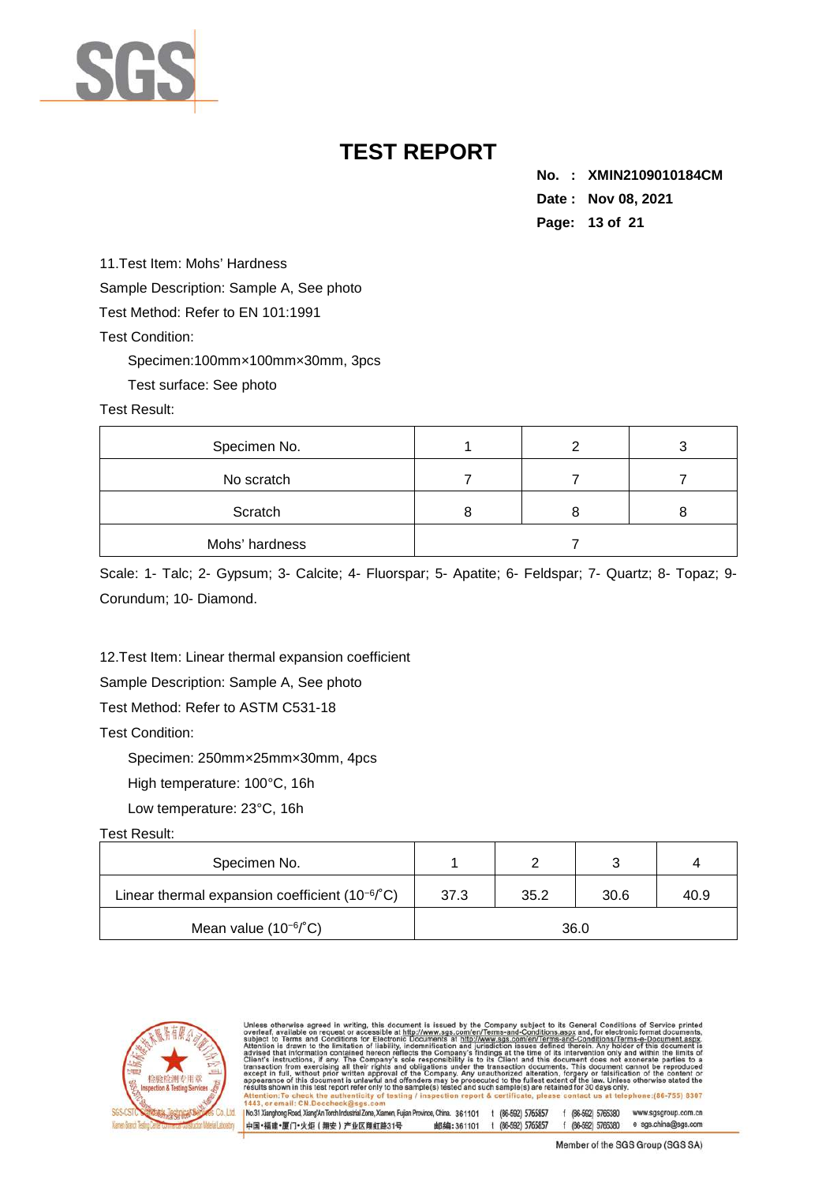

**No. : XMIN2109010184CM Date : Nov 08, 2021 Page: 13 of 21** 

11.Test Item: Mohs' Hardness Sample Description: Sample A, See photo Test Method: Refer to EN 101:1991

Test Condition:

Specimen:100mm×100mm×30mm, 3pcs

Test surface: See photo

Test Result:

| Specimen No.   |  |  |
|----------------|--|--|
| No scratch     |  |  |
| Scratch        |  |  |
| Mohs' hardness |  |  |

Scale: 1- Talc; 2- Gypsum; 3- Calcite; 4- Fluorspar; 5- Apatite; 6- Feldspar; 7- Quartz; 8- Topaz; 9- Corundum; 10- Diamond.

12.Test Item: Linear thermal expansion coefficient

Sample Description: Sample A, See photo

Test Method: Refer to ASTM C531-18

Test Condition:

Specimen: 250mm×25mm×30mm, 4pcs

High temperature: 100°C, 16h

Low temperature: 23°C, 16h

### Test Result:

| Specimen No.                                                 |      |      |      |      |  |  |
|--------------------------------------------------------------|------|------|------|------|--|--|
| Linear thermal expansion coefficient $(10^{-6}$ $\degree$ C) | 37.3 | 35.2 | 30.6 | 40.9 |  |  |
| Mean value $(10^{-6}$ °C)                                    | 36.0 |      |      |      |  |  |



| Unless otherwise agreed in writing, this document is issued by the Company subject to its General Conditions of Service printed<br>overleaf, available on request or accessible at http://www.sgs.com/en/Terms-and-Conditions.aspx and, for electronic format documents,<br>subject to Terms and Conditions for Electronic Documents at http://www.sgs.com/en/Terms-and-Conditions/Terms-e-Document.aspx.<br>Attention is drawn to the limitation of liability, indemnification and jurisdiction issues defined therein. Any holder of this document is<br>advised that information contained hereon reflects the Company's findings at the time of its intervention only and within the limits of<br>Client's instructions, if any. The Company's sole responsibility is to its Client and this document does not exonerate parties to a<br>transaction from exercising all their rights and obligations under the transaction documents. This document cannot be reproduced<br>except in full, without prior written approval of the Company. Any unauthorized alteration, forgery or falsification of the content or<br>appearance of this document is unlawful and offenders may be prosecuted to the fullest extent of the law. Unless otherwise stated the<br>results shown in this test report refer only to the sample(s) tested and such sample(s) are retained for 30 days only.<br>Attention: To check the authenticity of testing / inspection report & certificate, please contact us at telephone: (86-755) 8307<br>1443, or email: CN.Doccheck@sgs.com |                  |                    |                     |
|-----------------------------------------------------------------------------------------------------------------------------------------------------------------------------------------------------------------------------------------------------------------------------------------------------------------------------------------------------------------------------------------------------------------------------------------------------------------------------------------------------------------------------------------------------------------------------------------------------------------------------------------------------------------------------------------------------------------------------------------------------------------------------------------------------------------------------------------------------------------------------------------------------------------------------------------------------------------------------------------------------------------------------------------------------------------------------------------------------------------------------------------------------------------------------------------------------------------------------------------------------------------------------------------------------------------------------------------------------------------------------------------------------------------------------------------------------------------------------------------------------------------------------------------------------------------------|------------------|--------------------|---------------------|
| No.31 Xianghong Road, Xiang'An Torch Industrial Zone, Xiamen, Fujian Province, China. 361101                                                                                                                                                                                                                                                                                                                                                                                                                                                                                                                                                                                                                                                                                                                                                                                                                                                                                                                                                                                                                                                                                                                                                                                                                                                                                                                                                                                                                                                                          | (86-592) 5765857 | f (86-592) 5765380 | www.sgsgroup.com.cn |
| 中国・福建・厦门・火炬 (翔安) 产业区翔虹路31号<br>邮编:361101                                                                                                                                                                                                                                                                                                                                                                                                                                                                                                                                                                                                                                                                                                                                                                                                                                                                                                                                                                                                                                                                                                                                                                                                                                                                                                                                                                                                                                                                                                                               | (86-592) 5765857 | f (86-592) 5765380 | e sgs.china@sgs.com |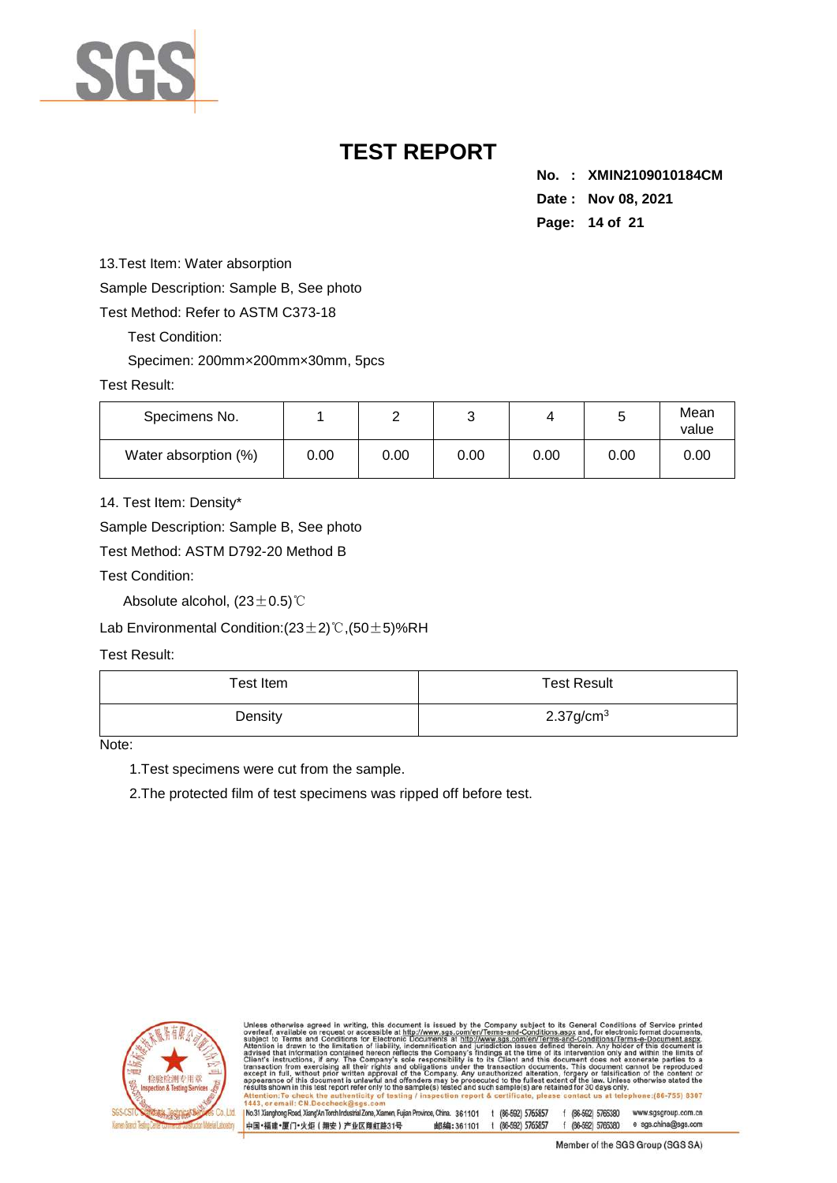

**No. : XMIN2109010184CM Date : Nov 08, 2021 Page: 14 of 21** 

13.Test Item: Water absorption

Sample Description: Sample B, See photo

Test Method: Refer to ASTM C373-18

Test Condition:

Specimen: 200mm×200mm×30mm, 5pcs

#### Test Result:

| Specimens No.        |      | ∸    | ⌒<br>ັ |      | ັ    | Mean<br>value |
|----------------------|------|------|--------|------|------|---------------|
| Water absorption (%) | 0.00 | 0.00 | 0.00   | 0.00 | 0.00 | 0.00          |

14. Test Item: Density\*

Sample Description: Sample B, See photo

Test Method: ASTM D792-20 Method B

Test Condition:

Absolute alcohol, (23±0.5)℃

Lab Environmental Condition:(23±2)℃,(50±5)%RH

Test Result:

| Test Item | <b>Test Result</b>       |
|-----------|--------------------------|
| Density   | $2.37$ g/cm <sup>3</sup> |

Note:

1.Test specimens were cut from the sample.

2.The protected film of test specimens was ripped off before test.



otherwise agreed in writing, this document is issued by the Company subject to its General Conditions of Service<br>, available on request or accessible at http://www.sgs.com/en/Terms-and-Conditions.aspx and, for electronic f sub<br>Atte advised<br>Client's tion from exe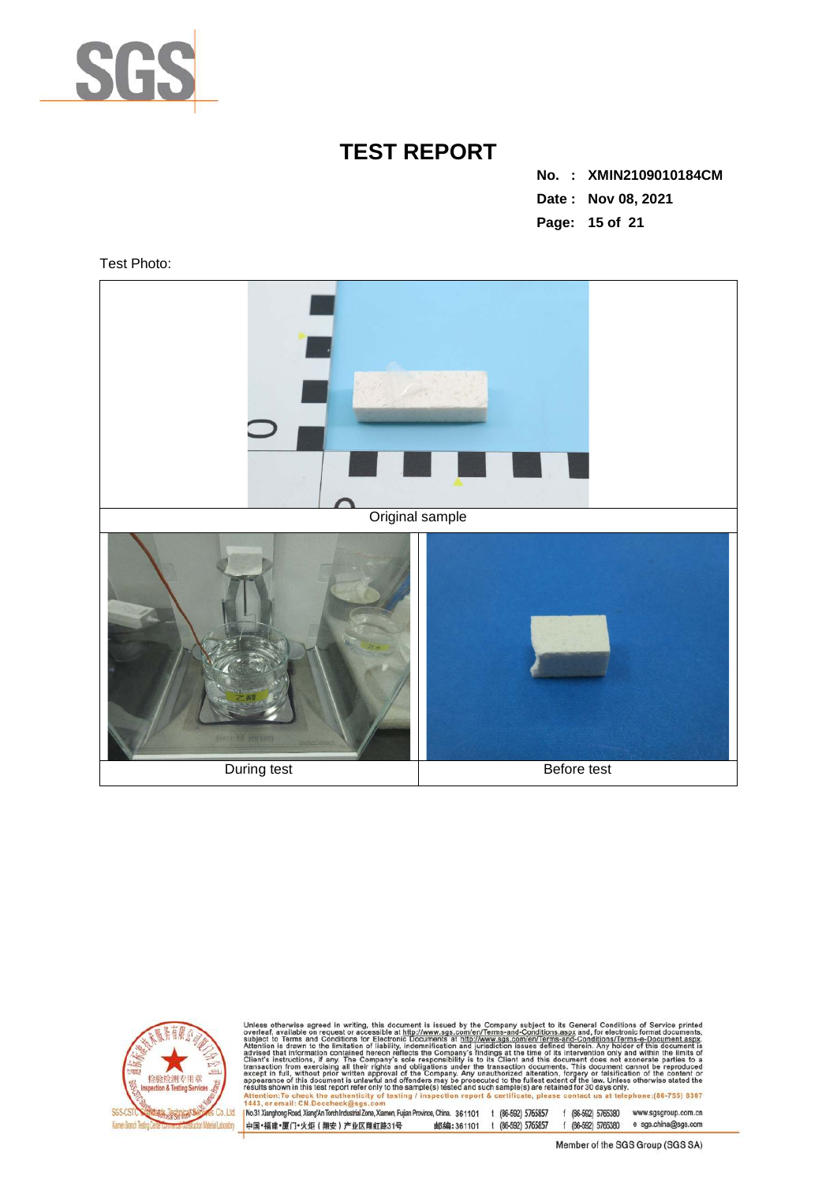

**No. : XMIN2109010184CM Date : Nov 08, 2021 Page: 15 of 21** 

Test Photo:





Unless otherwise agreed in writing, this document is issued by the Company subject to its General Conditions of Service printed overleaf, available on request or accessible at http://www.sgs.com/en/Terms-and-Conditions.as  $II$  CN D

1 Mo31 Xianghong Road, XiangAn Torch Industrial Zone, Xiamen, Fujian Province, China. 361101 t (86-592) 5765857 f (86-592) 5765330 www.sgsgroup.com.cn<br>|中国+福建+厦门+火炬(翔安)产业区翔虹路31号 邮编:361101 t (86-592) 5765857 f (86-592)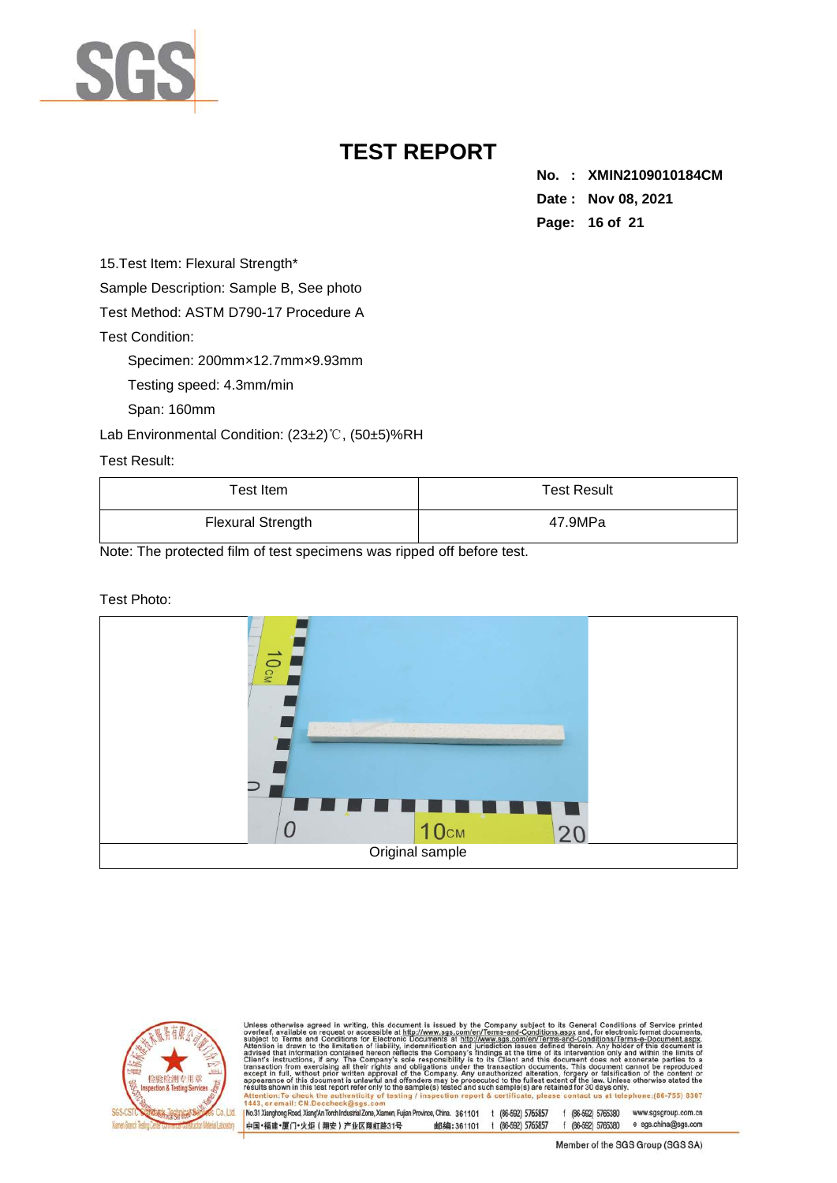

**No. : XMIN2109010184CM Date : Nov 08, 2021 Page: 16 of 21** 

15. Test Item: Flexural Strength\*

Sample Description: Sample B, See photo

Test Method: ASTM D790-17 Procedure A

Test Condition:

Specimen: 200mm×12.7mm×9.93mm

Testing speed: 4.3mm/min

Span: 160mm

Lab Environmental Condition: (23±2)℃, (50±5)%RH

Test Result:

| Test Item                | <b>Test Result</b> |
|--------------------------|--------------------|
| <b>Flexural Strength</b> | 47.9MPa            |

Note: The protected film of test specimens was ripped off before test.

#### Test Photo:





otherwise agreed in writing, this document is issued by the Company subject to its General Conditions of Service and Conditions for Service and Conditions for electronic forms and Conditions for the stress of the intermedi advised<br>Client's nt s\_instructions,<br>saction\_from\_exe<br>>pt\_in\_full,\_withor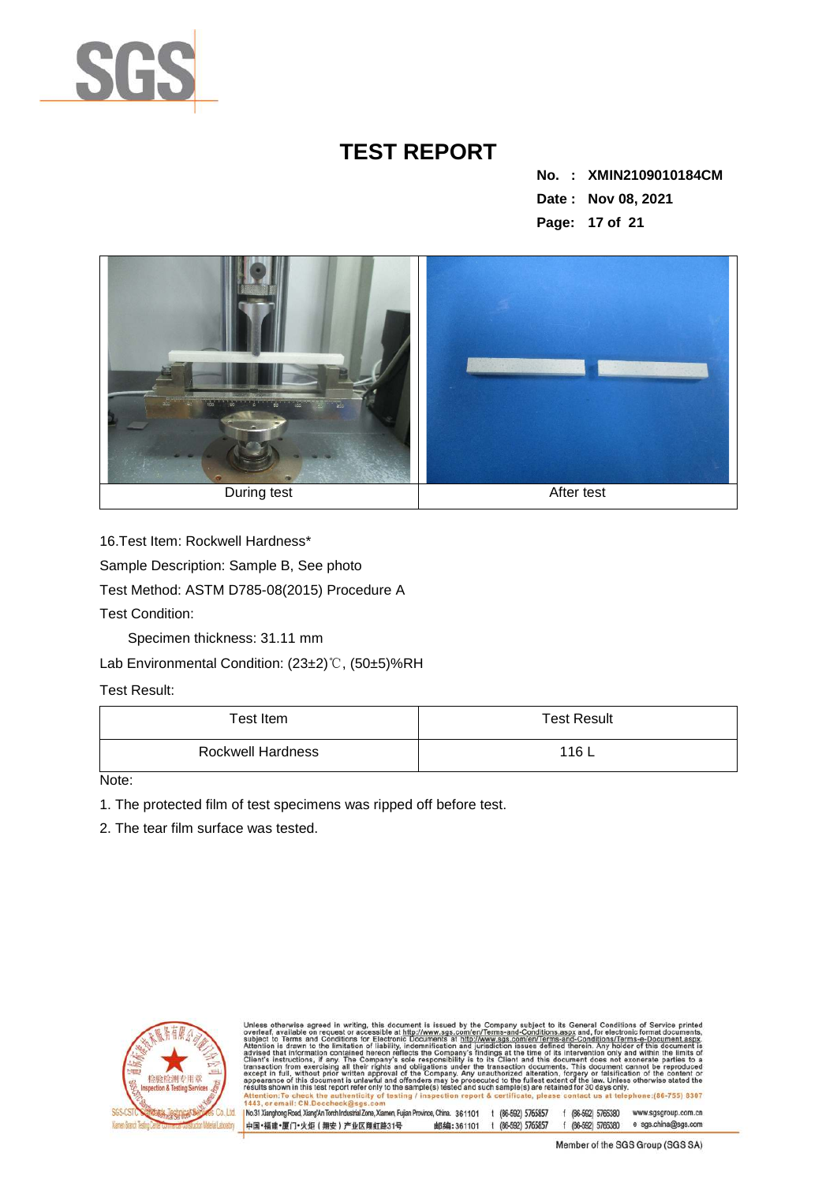

**No. : XMIN2109010184CM Date : Nov 08, 2021 Page: 17 of 21** 



16.Test Item: Rockwell Hardness\*

Sample Description: Sample B, See photo

Test Method: ASTM D785-08(2015) Procedure A

Test Condition:

Specimen thickness: 31.11 mm

Lab Environmental Condition: (23±2)℃, (50±5)%RH

Test Result:

| Test Item         | <b>Test Result</b> |
|-------------------|--------------------|
| Rockwell Hardness | 116 L              |

Note:

1. The protected film of test specimens was ripped off before test.

2. The tear film surface was tested.



otherwise agreed in writing, this document is issued by the Company subject to its General Conditions of Service and Conditions for Service in the Company subject to its General Conditions of Service is a three and Conditi s enned therein. Any notice the of its intervaluent does not<br>cocuments. This document does not determine, This document<br>eration, forgery or falsifications<br>est extent of the law. Unles<br>the restated for 30 days only<br>please c Client's to a nt s instructions,<br>saction from exer<br>»pt in full, withou  $(86 - 755) 8307$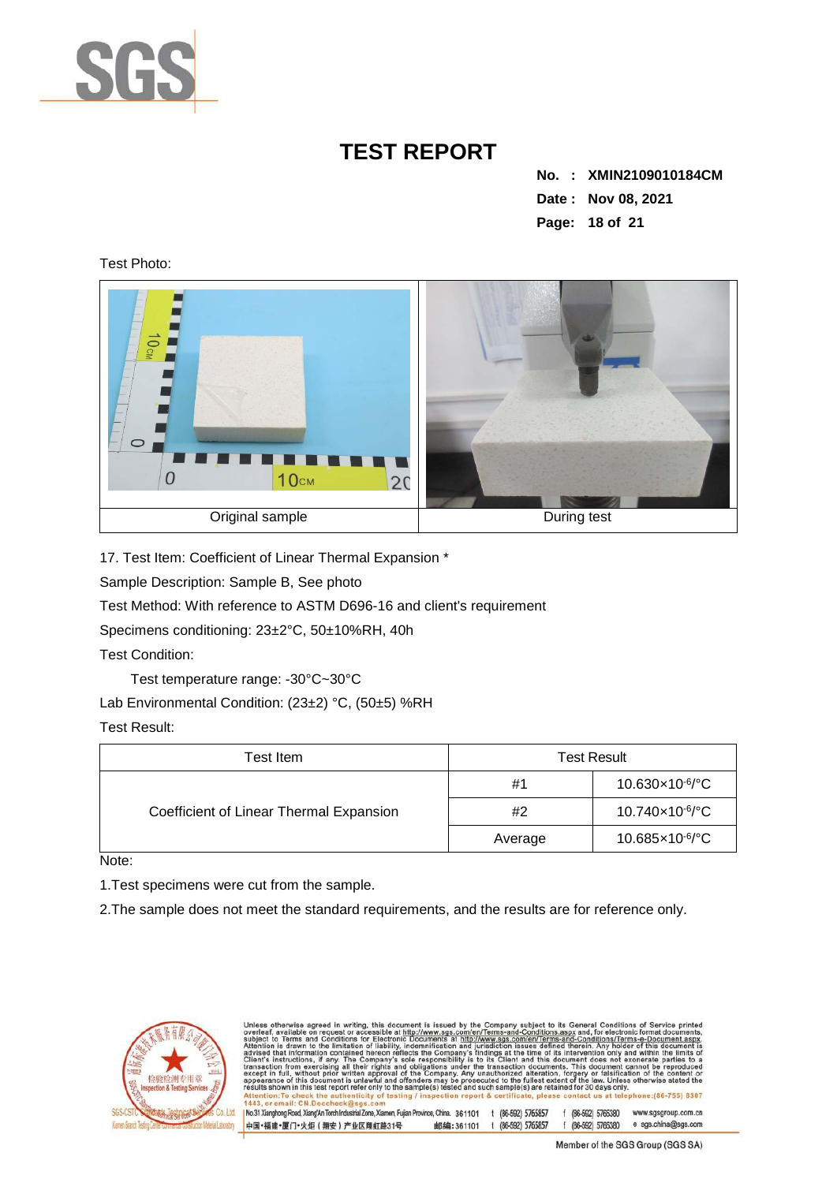

**No. : XMIN2109010184CM Date : Nov 08, 2021 Page: 18 of 21** 

Test Photo:



17. Test Item: Coefficient of Linear Thermal Expansion \*

Sample Description: Sample B, See photo

Test Method: With reference to ASTM D696-16 and client's requirement

中国·福建·厦门·火炬 (翔安) 产业区翔虹路31号

Specimens conditioning: 23±2°C, 50±10%RH, 40h

Test Condition:

Test temperature range: -30°C~30°C

Lab Environmental Condition: (23±2) °C, (50±5) %RH

Test Result:

| Test Item                               | <b>Test Result</b> |                                |
|-----------------------------------------|--------------------|--------------------------------|
|                                         | #1                 | $10.630\times10^{6}/^{\circ}C$ |
| Coefficient of Linear Thermal Expansion | #2                 | 10.740×10 <sup>-6</sup> /°C    |
|                                         | Average            | 10.685×10 <sup>-6</sup> /°C    |

Note:

1.Test specimens were cut from the sample.

2.The sample does not meet the standard requirements, and the results are for reference only.



otherwise agreed in writing, this document is issued by the Company subject to its General Conditions of Service of a conditions for Service and Conditions for electronic forms and the *information* of the intervention of sub<br>Atte s defined therein. Any hole<br>this document does not<br>cocuments. This document does not<br>eration, forgery or falsific<br>est extent of the law. Unle<br>the retained for 30 days online<br>please contact us at tel advised<br>Client's saction from exer<br>pt in full, withou  $(86 - 755) 8307$ No.31 Xianghong Road, Xiang/An Torch Industrial Zone, Xiamen, Fujian Province, China. 361101 t (86-592) 5765857 f (86-592) 5765380 www.sgsgroup.com.cn f (86-592) 5765380 e sgs.china@sgs.com

邮编:361101 t (86-592) 5765857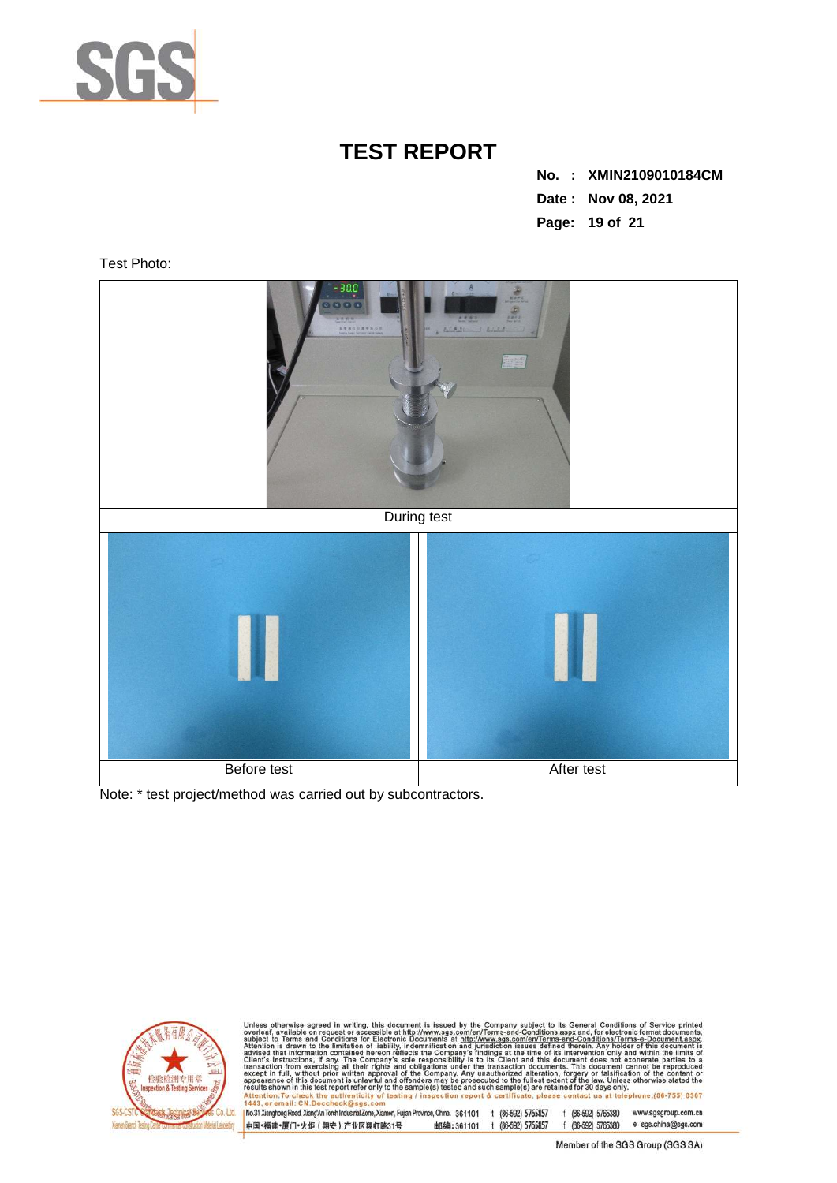

**No. : XMIN2109010184CM Date : Nov 08, 2021 Page: 19 of 21** 

Test Photo:



Note: \* test project/method was carried out by subcontractors.



Unless otherwise agreed in writing, this document is issued by the Company subject to its General Conditions of Service printed overteaf, available on request or accessible at http://www.sgs.com/en/Terms-and-Conditions.as  $II$  CN D

No.31 Xianghong Road, Xiang/An Torch Industrial Zone, Xiamen, Fujian Province, China. 361101 t (86-592) 5765857 f (86-592) 5765380 www.sgsgroup.com.cn 邮编:361101 t (86-592) 5765857 f (86-592) 5765380 e sgs.china@sgs.com 中国·福建·厦门·火炬 (翔安) 产业区翔虹路31号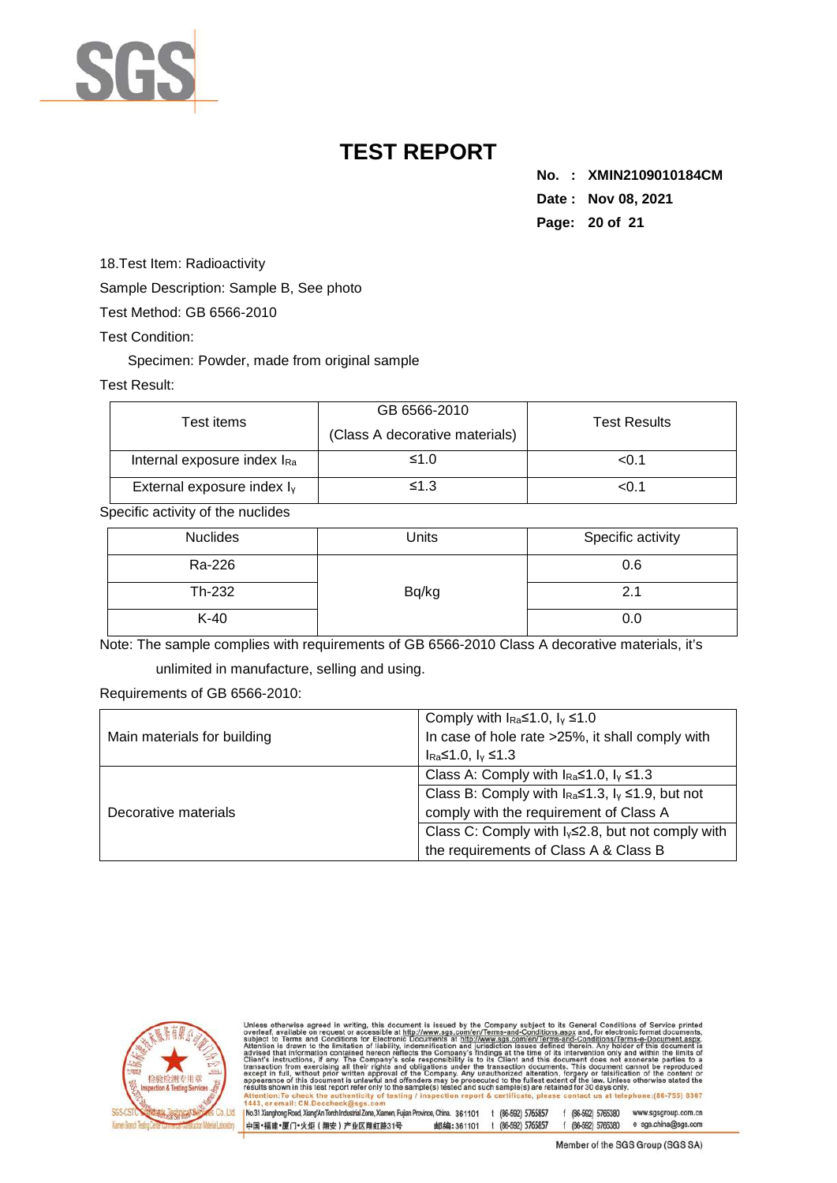

**No. : XMIN2109010184CM Date : Nov 08, 2021 Page: 20 of 21** 

18.Test Item: Radioactivity

Sample Description: Sample B, See photo

Test Method: GB 6566-2010

Test Condition:

Specimen: Powder, made from original sample

#### Test Result:

| Test items                             | GB 6566-2010<br>(Class A decorative materials) | <b>Test Results</b> |
|----------------------------------------|------------------------------------------------|---------------------|
| Internal exposure index IRa            | ≤1.0                                           | < 0.1               |
| External exposure index I <sub>v</sub> | ≤1.3                                           | < 0.1               |

Specific activity of the nuclides

| <b>Nuclides</b> | Units | Specific activity |
|-----------------|-------|-------------------|
| Ra-226          |       | 0.6               |
| Th-232          | Bq/kg | 2.1               |
| $K-40$          |       | 0.0               |

Note: The sample complies with requirements of GB 6566-2010 Class A decorative materials, it's

unlimited in manufacture, selling and using.

Requirements of GB 6566-2010:

|                             | Comply with $I_{\text{Ra}} \le 1.0$ , $I_{\gamma} \le 1.0$            |  |  |
|-----------------------------|-----------------------------------------------------------------------|--|--|
| Main materials for building | In case of hole rate >25%, it shall comply with                       |  |  |
|                             | $I_{\text{Ra}}$ ≤1.0, $I_{\text{V}}$ ≤1.3                             |  |  |
|                             | Class A: Comply with $I_{\text{Ra}} \le 1.0$ , $I_{\text{Y}} \le 1.3$ |  |  |
|                             | Class B: Comply with $I_{Ra} \le 1.3$ , $I_v \le 1.9$ , but not       |  |  |
| Decorative materials        | comply with the requirement of Class A                                |  |  |
|                             | Class C: Comply with $I_v \le 2.8$ , but not comply with              |  |  |
|                             | the requirements of Class A & Class B                                 |  |  |



otherwise agreed in writing, this document is issued by the Company subject to its General Conditions of Service and Conditions for Service and Conditions for electronic forms and Conditions for the stress of the intermedi sub<br>Atte advised<br>Client's nt s instructions,<br>saction from exer<br>»pt in full, withou